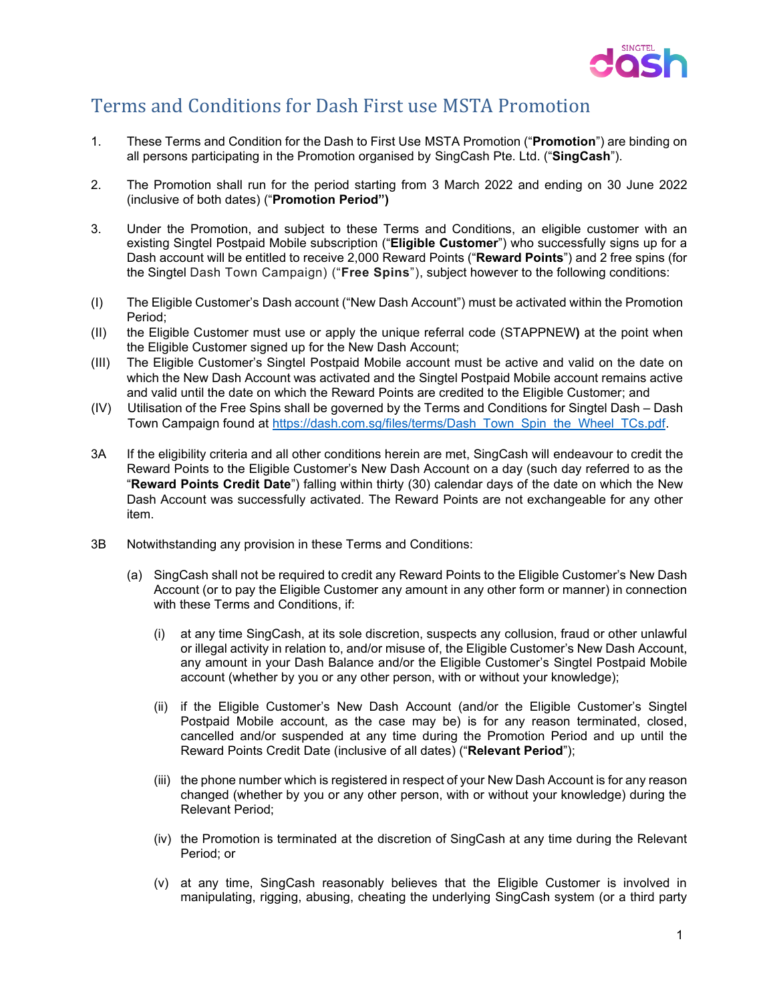

## Terms and Conditions for Dash First use MSTA Promotion

- 1. These Terms and Condition for the Dash to First Use MSTA Promotion ("**Promotion**") are binding on all persons participating in the Promotion organised by SingCash Pte. Ltd. ("**SingCash**").
- 2. The Promotion shall run for the period starting from 3 March 2022 and ending on 30 June 2022 (inclusive of both dates) ("**Promotion Period")**
- 3. Under the Promotion, and subject to these Terms and Conditions, an eligible customer with an existing Singtel Postpaid Mobile subscription ("**Eligible Customer**") who successfully signs up for a Dash account will be entitled to receive 2,000 Reward Points ("**Reward Points**") and 2 free spins (for the Singtel Dash Town Campaign) ("**Free Spins**"), subject however to the following conditions:
- (I) The Eligible Customer's Dash account ("New Dash Account") must be activated within the Promotion Period;
- (II) the Eligible Customer must use or apply the unique referral code (STAPPNEW**)** at the point when the Eligible Customer signed up for the New Dash Account;
- (III) The Eligible Customer's Singtel Postpaid Mobile account must be active and valid on the date on which the New Dash Account was activated and the Singtel Postpaid Mobile account remains active and valid until the date on which the Reward Points are credited to the Eligible Customer; and
- (IV) Utilisation of the Free Spins shall be governed by the Terms and Conditions for Singtel Dash Dash Town Campaign found at [https://dash.com.sg/files/terms/Dash\\_Town\\_Spin\\_the\\_Wheel\\_TCs.pdf.](https://dash.com.sg/files/terms/Dash_Town_Spin_the_Wheel_TCs.pdf)
- 3A If the eligibility criteria and all other conditions herein are met, SingCash will endeavour to credit the Reward Points to the Eligible Customer's New Dash Account on a day (such day referred to as the "**Reward Points Credit Date**") falling within thirty (30) calendar days of the date on which the New Dash Account was successfully activated. The Reward Points are not exchangeable for any other item.
- 3B Notwithstanding any provision in these Terms and Conditions:
	- (a) SingCash shall not be required to credit any Reward Points to the Eligible Customer's New Dash Account (or to pay the Eligible Customer any amount in any other form or manner) in connection with these Terms and Conditions, if:
		- (i) at any time SingCash, at its sole discretion, suspects any collusion, fraud or other unlawful or illegal activity in relation to, and/or misuse of, the Eligible Customer's New Dash Account, any amount in your Dash Balance and/or the Eligible Customer's Singtel Postpaid Mobile account (whether by you or any other person, with or without your knowledge);
		- (ii) if the Eligible Customer's New Dash Account (and/or the Eligible Customer's Singtel Postpaid Mobile account, as the case may be) is for any reason terminated, closed, cancelled and/or suspended at any time during the Promotion Period and up until the Reward Points Credit Date (inclusive of all dates) ("**Relevant Period**");
		- (iii) the phone number which is registered in respect of your New Dash Account is for any reason changed (whether by you or any other person, with or without your knowledge) during the Relevant Period;
		- (iv) the Promotion is terminated at the discretion of SingCash at any time during the Relevant Period; or
		- (v) at any time, SingCash reasonably believes that the Eligible Customer is involved in manipulating, rigging, abusing, cheating the underlying SingCash system (or a third party